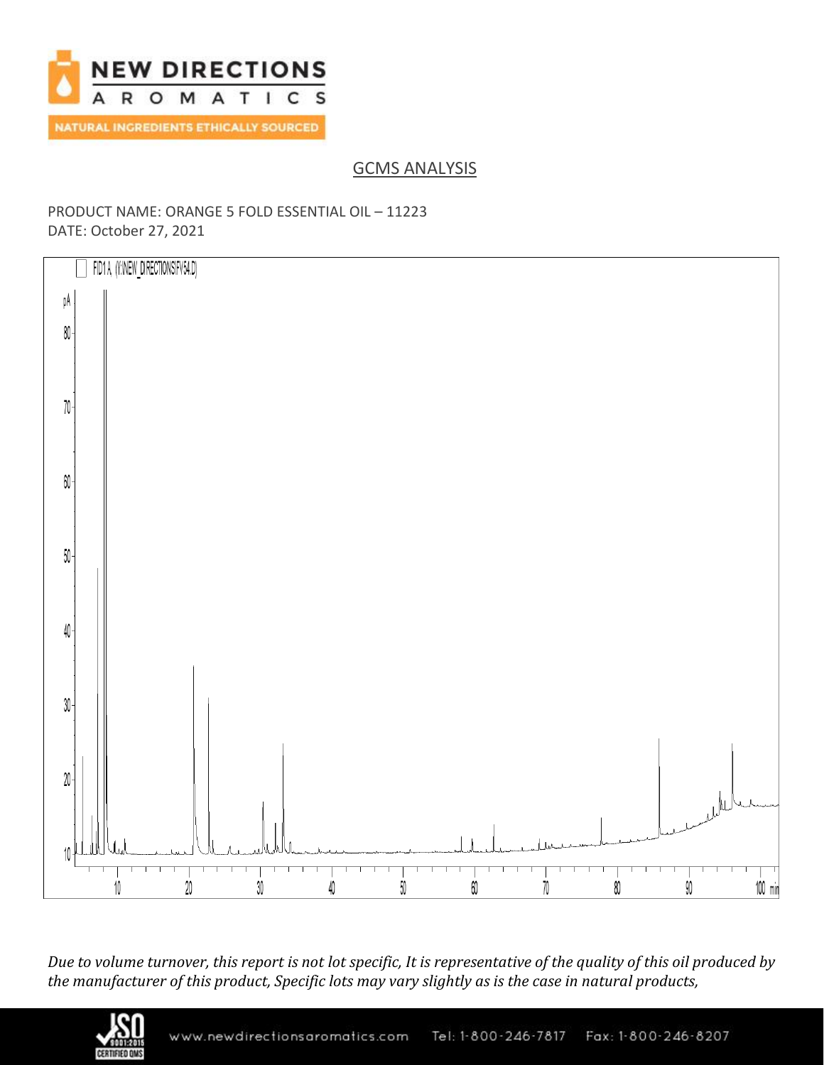

GCMS ANALYSIS

## PRODUCT NAME: ORANGE 5 FOLD ESSENTIAL OIL – 11223 DATE: October 27, 2021



*Due to volume turnover, this report is not lot specific, It is representative of the quality of this oil produced by the manufacturer of this product, Specific lots may vary slightly as is the case in natural products,*

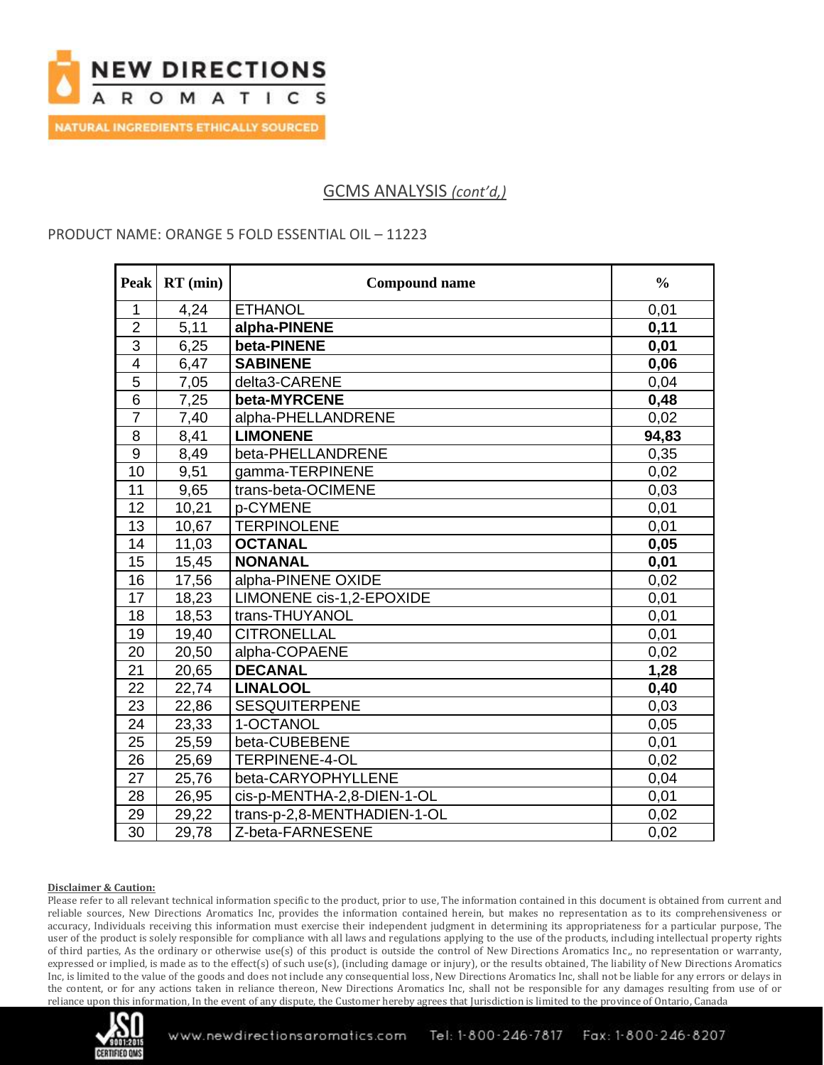

## GCMS ANALYSIS *(cont'd,)*

### PRODUCT NAME: ORANGE 5 FOLD ESSENTIAL OIL – 11223

| <b>Peak</b>      | $RT$ (min) | <b>Compound name</b>        | $\frac{0}{0}$ |
|------------------|------------|-----------------------------|---------------|
| $\mathbf{1}$     | 4,24       | <b>ETHANOL</b>              | 0,01          |
| $\overline{2}$   | 5,11       | alpha-PINENE                | 0,11          |
| 3                | 6,25       | beta-PINENE                 | 0,01          |
| $\overline{4}$   | 6,47       | <b>SABINENE</b>             | 0,06          |
| $\overline{5}$   | 7,05       | delta3-CARENE               | 0,04          |
| 6                | 7,25       | beta-MYRCENE                | 0,48          |
| $\overline{7}$   | 7,40       | alpha-PHELLANDRENE          | 0,02          |
| 8                | 8,41       | <b>LIMONENE</b>             | 94,83         |
| $\boldsymbol{9}$ | 8,49       | beta-PHELLANDRENE           | 0,35          |
| 10               | 9,51       | gamma-TERPINENE             | 0,02          |
| 11               | 9,65       | trans-beta-OCIMENE          | 0,03          |
| 12               | 10,21      | p-CYMENE                    | 0,01          |
| 13               | 10,67      | <b>TERPINOLENE</b>          | 0,01          |
| 14               | 11,03      | <b>OCTANAL</b>              | 0,05          |
| 15               | 15,45      | <b>NONANAL</b>              | 0,01          |
| 16               | 17,56      | alpha-PINENE OXIDE          | 0,02          |
| 17               | 18,23      | LIMONENE cis-1,2-EPOXIDE    | 0,01          |
| 18               | 18,53      | trans-THUYANOL              | 0,01          |
| 19               | 19,40      | <b>CITRONELLAL</b>          | 0,01          |
| 20               | 20,50      | alpha-COPAENE               | 0,02          |
| 21               | 20,65      | <b>DECANAL</b>              | 1,28          |
| 22               | 22,74      | <b>LINALOOL</b>             | 0,40          |
| 23               | 22,86      | <b>SESQUITERPENE</b>        | 0,03          |
| 24               | 23,33      | 1-OCTANOL                   | 0,05          |
| 25               | 25,59      | beta-CUBEBENE               | 0,01          |
| 26               | 25,69      | <b>TERPINENE-4-OL</b>       | 0,02          |
| 27               | 25,76      | beta-CARYOPHYLLENE          | 0,04          |
| 28               | 26,95      | cis-p-MENTHA-2,8-DIEN-1-OL  | 0,01          |
| 29               | 29,22      | trans-p-2,8-MENTHADIEN-1-OL | 0,02          |
| 30               | 29,78      | Z-beta-FARNESENE            | 0,02          |

#### **Disclaimer & Caution:**

Please refer to all relevant technical information specific to the product, prior to use, The information contained in this document is obtained from current and reliable sources, New Directions Aromatics Inc, provides the information contained herein, but makes no representation as to its comprehensiveness or accuracy, Individuals receiving this information must exercise their independent judgment in determining its appropriateness for a particular purpose, The user of the product is solely responsible for compliance with all laws and regulations applying to the use of the products, including intellectual property rights of third parties, As the ordinary or otherwise use(s) of this product is outside the control of New Directions Aromatics Inc,, no representation or warranty, expressed or implied, is made as to the effect(s) of such use(s), (including damage or injury), or the results obtained, The liability of New Directions Aromatics Inc, is limited to the value of the goods and does not include any consequential loss, New Directions Aromatics Inc, shall not be liable for any errors or delays in the content, or for any actions taken in reliance thereon, New Directions Aromatics Inc, shall not be responsible for any damages resulting from use of or reliance upon this information, In the event of any dispute, the Customer hereby agrees that Jurisdiction is limited to the province of Ontario, Canada